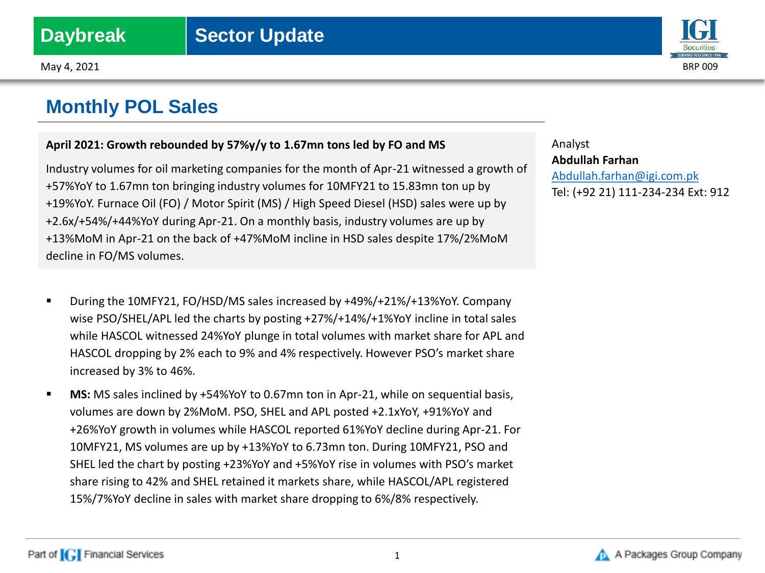## **Monthly POL Sales**

## **April 2021: Growth rebounded by 57%y/y to 1.67mn tons led by FO and MS**

Industry volumes for oil marketing companies for the month of Apr-21 witnessed a growth of +57%YoY to 1.67mn ton bringing industry volumes for 10MFY21 to 15.83mn ton up by +19%YoY. Furnace Oil (FO) / Motor Spirit (MS) / High Speed Diesel (HSD) sales were up by +2.6x/+54%/+44%YoY during Apr-21. On a monthly basis, industry volumes are up by +13%MoM in Apr-21 on the back of +47%MoM incline in HSD sales despite 17%/2%MoM decline in FO/MS volumes.

- During the 10MFY21, FO/HSD/MS sales increased by +49%/+21%/+13%YoY. Company wise PSO/SHEL/APL led the charts by posting +27%/+14%/+1%YoY incline in total sales while HASCOL witnessed 24%YoY plunge in total volumes with market share for APL and HASCOL dropping by 2% each to 9% and 4% respectively. However PSO's market share increased by 3% to 46%.
- **MS:** MS sales inclined by +54%YoY to 0.67mn ton in Apr-21, while on sequential basis, volumes are down by 2%MoM. PSO, SHEL and APL posted +2.1xYoY, +91%YoY and +26%YoY growth in volumes while HASCOL reported 61%YoY decline during Apr-21. For 10MFY21, MS volumes are up by +13%YoY to 6.73mn ton. During 10MFY21, PSO and SHEL led the chart by posting +23%YoY and +5%YoY rise in volumes with PSO's market share rising to 42% and SHEL retained it markets share, while HASCOL/APL registered 15%/7%YoY decline in sales with market share dropping to 6%/8% respectively.

Analyst **Abdullah Farhan** [Abdullah.farhan@igi.com.pk](mailto:Shumail.rauf@igi.com.pk) Tel: (+92 21) 111-234-234 Ext: 912



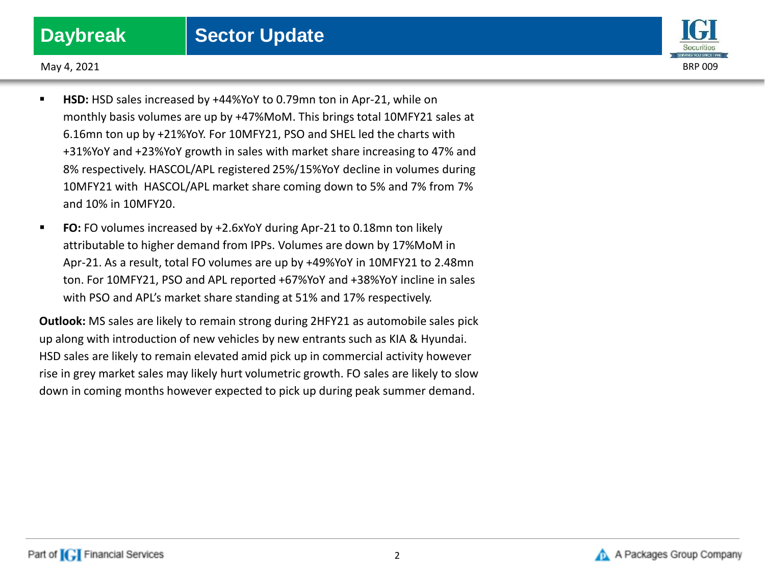

May 4, 2021 BRP 009

- **HSD:** HSD sales increased by +44%YoY to 0.79mn ton in Apr-21, while on monthly basis volumes are up by +47%MoM. This brings total 10MFY21 sales at 6.16mn ton up by +21%YoY. For 10MFY21, PSO and SHEL led the charts with +31%YoY and +23%YoY growth in sales with market share increasing to 47% and 8% respectively. HASCOL/APL registered 25%/15%YoY decline in volumes during 10MFY21 with HASCOL/APL market share coming down to 5% and 7% from 7% and 10% in 10MFY20.
- **FO:** FO volumes increased by +2.6xYoY during Apr-21 to 0.18mn ton likely attributable to higher demand from IPPs. Volumes are down by 17%MoM in Apr-21. As a result, total FO volumes are up by +49%YoY in 10MFY21 to 2.48mn ton. For 10MFY21, PSO and APL reported +67%YoY and +38%YoY incline in sales with PSO and APL's market share standing at 51% and 17% respectively.

**Outlook:** MS sales are likely to remain strong during 2HFY21 as automobile sales pick up along with introduction of new vehicles by new entrants such as KIA & Hyundai. HSD sales are likely to remain elevated amid pick up in commercial activity however rise in grey market sales may likely hurt volumetric growth. FO sales are likely to slow down in coming months however expected to pick up during peak summer demand.

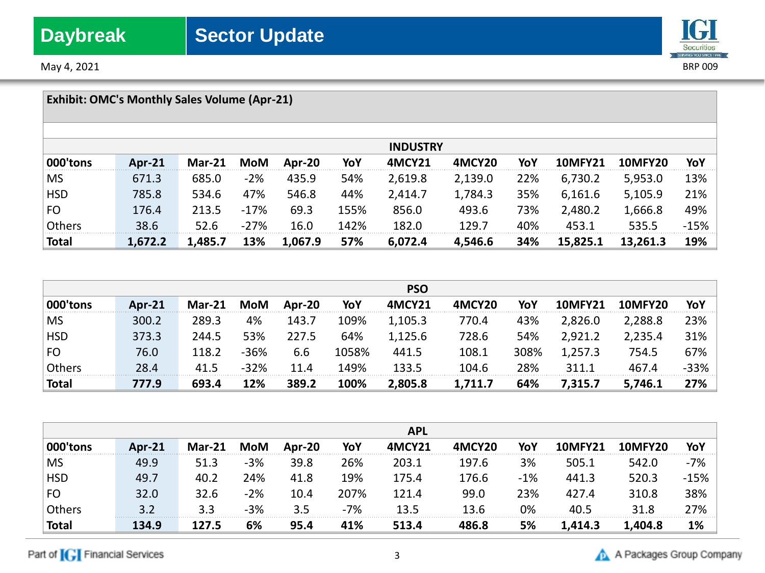May 4, 2021 BRP 009

# **IGI** Securities

|              | <b>Exhibit: OMC's Monthly Sales Volume (Apr-21)</b> |               |        |         |      |                 |         |     |                |                |        |
|--------------|-----------------------------------------------------|---------------|--------|---------|------|-----------------|---------|-----|----------------|----------------|--------|
|              |                                                     |               |        |         |      | <b>INDUSTRY</b> |         |     |                |                |        |
| 000'tons     | Apr-21                                              | <b>Mar-21</b> | MoM    | Apr-20  | YoY  | <b>4MCY21</b>   | 4MCY20  | YoY | <b>10MFY21</b> | <b>10MFY20</b> | YoY    |
| <b>MS</b>    | 671.3                                               | 685.0         | $-2%$  | 435.9   | 54%  | 2,619.8         | 2,139.0 | 22% | 6,730.2        | 5,953.0        | 13%    |
| <b>HSD</b>   | 785.8                                               | 534.6         | 47%    | 546.8   | 44%  | 2,414.7         | 1,784.3 | 35% | 6,161.6        | 5,105.9        | 21%    |
| <b>FO</b>    | 176.4                                               | 213.5         | $-17%$ | 69.3    | 155% | 856.0           | 493.6   | 73% | 2,480.2        | 1,666.8        | 49%    |
| Others       | 38.6                                                | 52.6          | $-27%$ | 16.0    | 142% | 182.0           | 129.7   | 40% | 453.1          | 535.5          | $-15%$ |
| <b>Total</b> | 1,672.2                                             | 1,485.7       | 13%    | 1,067.9 | 57%  | 6,072.4         | 4,546.6 | 34% | 15,825.1       | 13,261.3       | 19%    |

|               |               |          |        |        |       | <b>PSO</b> |         |      |                |                |        |
|---------------|---------------|----------|--------|--------|-------|------------|---------|------|----------------|----------------|--------|
| 000'tons      | <b>Apr-21</b> | $Mar-21$ | MoM    | Apr-20 | YoY   | 4MCY21     | 4MCY20  | YoY  | <b>10MFY21</b> | <b>10MFY20</b> | YoY    |
| <b>MS</b>     | 300.2         | 289.3    | 4%     | 143.7  | 109%  | 1,105.3    | 770.4   | 43%  | 2,826.0        | 2,288.8        | 23%    |
| <b>HSD</b>    | 373.3         | 244.5    | 53%    | 227.5  | 64%   | 1,125.6    | 728.6   | 54%  | 2,921.2        | 2,235.4        | 31%    |
| FO            | 76.0          | 118.2    | $-36%$ | 6.6    | 1058% | 441.5      | 108.1   | 308% | 1,257.3        | 754.5          | 67%    |
| <b>Others</b> | 28.4          | 41.5     | $-32%$ | 11.4   | 149%  | 133.5      | 104.6   | 28%  | 311.1          | 467.4          | $-33%$ |
| <b>Total</b>  | 777.9         | 693.4    | 12%    | 389.2  | 100%  | 2,805.8    | 1,711.7 | 64%  | 7,315.7        | 5,746.1        | 27%    |

|              |           |               |       |        |       | <b>APL</b> |        |       |                |                |        |
|--------------|-----------|---------------|-------|--------|-------|------------|--------|-------|----------------|----------------|--------|
| 000'tons     | Apr- $21$ | <b>Mar-21</b> | MoM   | Apr-20 | YoY   | 4MCY21     | 4MCY20 | YoY   | <b>10MFY21</b> | <b>10MFY20</b> | YoY    |
| <b>MS</b>    | 49.9      | 51.3          | $-3%$ | 39.8   | 26%   | 203.1      | 197.6  | 3%    | 505.1          | 542.0          | $-7%$  |
| <b>HSD</b>   | 49.7      | 40.2          | 24%   | 41.8   | 19%   | 175.4      | 176.6  | $-1%$ | 441.3          | 520.3          | $-15%$ |
| <b>FO</b>    | 32.0      | 32.6          | $-2%$ | 10.4   | 207%  | 121.4      | 99.0   | 23%   | 427.4          | 310.8          | 38%    |
| Others       | 3.2       | 3.3           | $-3%$ | 3.5    | $-7%$ | 13.5       | 13.6   | 0%    | 40.5           | 31.8           | 27%    |
| <b>Total</b> | 134.9     | 127.5         | 6%    | 95.4   | 41%   | 513.4      | 486.8  | 5%    | 1,414.3        | 1,404.8        | 1%     |

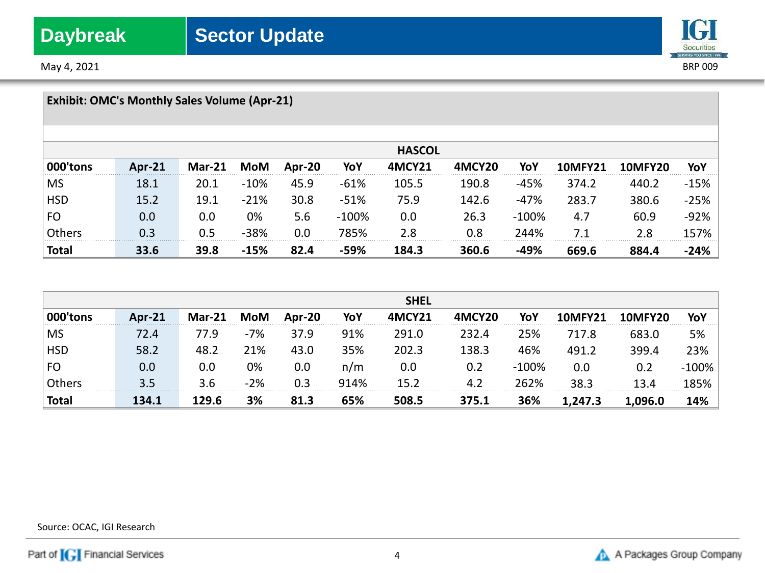May 4, 2021 BRP 009



|               | <b>Exhibit: OMC's Monthly Sales Volume (Apr-21)</b> |               |        |        |         |               |        |         |                |         |        |
|---------------|-----------------------------------------------------|---------------|--------|--------|---------|---------------|--------|---------|----------------|---------|--------|
|               |                                                     |               |        |        |         | <b>HASCOL</b> |        |         |                |         |        |
| 000'tons      | Apr- $21$                                           | <b>Mar-21</b> | MoM    | Apr-20 | YoY     | 4MCY21        | 4MCY20 | YoY     | <b>10MFY21</b> | 10MFY20 | YoY    |
| <b>MS</b>     | 18.1                                                | 20.1          | $-10%$ | 45.9   | $-61%$  | 105.5         | 190.8  | -45%    | 374.2          | 440.2   | $-15%$ |
| <b>HSD</b>    | 15.2                                                | 19.1          | $-21%$ | 30.8   | $-51%$  | 75.9          | 142.6  | $-47%$  | 283.7          | 380.6   | $-25%$ |
| FO            | 0.0                                                 | 0.0           | 0%     | 5.6    | $-100%$ | 0.0           | 26.3   | $-100%$ | 4.7            | 60.9    | $-92%$ |
| <b>Others</b> | 0.3                                                 | 0.5           | $-38%$ | 0.0    | 785%    | 2.8           | 0.8    | 244%    | 7.1            | 2.8     | 157%   |
| <b>Total</b>  | 33.6                                                | 39.8          | $-15%$ | 82.4   | -59%    | 184.3         | 360.6  | -49%    | 669.6          | 884.4   | $-24%$ |

|              |               |          |       |        |      | <b>SHEL</b> |                    |          |                |                |          |
|--------------|---------------|----------|-------|--------|------|-------------|--------------------|----------|----------------|----------------|----------|
| 000'tons     | <b>Apr-21</b> | $Mar-21$ | MoM   | Apr-20 | YoY  | 4MCY21      | 4MCY <sub>20</sub> | YoY      | <b>10MFY21</b> | <b>10MFY20</b> | YoY      |
| <b>MS</b>    | 72.4          | 77.9     | $-7%$ | 37.9   | 91%  | 291.0       | 232.4              | 25%      | 717.8          | 683.0          | 5%       |
| <b>HSD</b>   | 58.2          | 48.2     | 21%   | 43.0   | 35%  | 202.3       | 138.3              | 46%      | 491.2          | 399.4          | 23%      |
| FO           | $0.0\,$       | 0.0      | 0%    | 0.0    | n/m  | 0.0         | 0.2                | $-100\%$ | 0.0            | 0.2            | $-100\%$ |
| Others       | 3.5           | 3.6      | $-2%$ | 0.3    | 914% | 15.2        | 4.2                | 262%     | 38.3           | 13.4           | 185%     |
| <b>Total</b> | 134.1         | 129.6    | 3%    | 81.3   | 65%  | 508.5       | 375.1              | 36%      | 1,247.3        | 1,096.0        | 14%      |

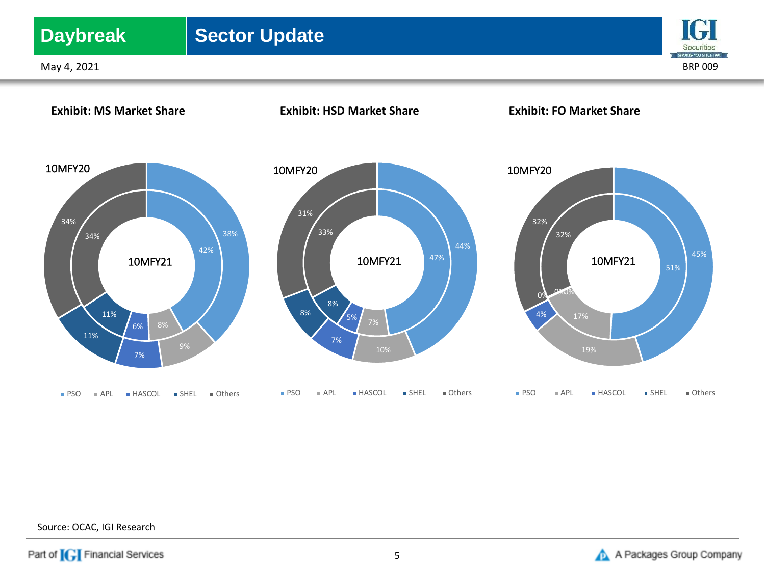## **Daybreak** | Sector Update

May 4, 2021 BRP 009





Source: OCAC, IGI Research

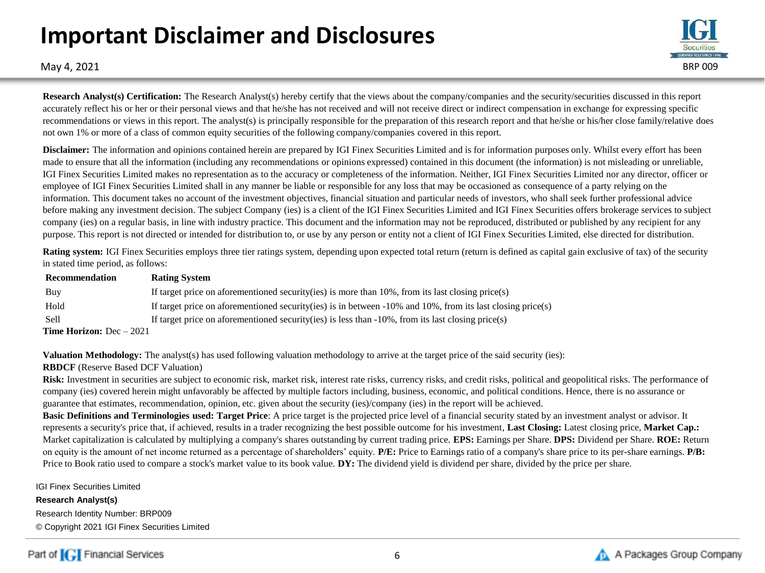# **Important Disclaimer and Disclosures**



May 4, 2021 BRP 009

**Research Analyst(s) Certification:** The Research Analyst(s) hereby certify that the views about the company/companies and the security/securities discussed in this report accurately reflect his or her or their personal views and that he/she has not received and will not receive direct or indirect compensation in exchange for expressing specific recommendations or views in this report. The analyst(s) is principally responsible for the preparation of this research report and that he/she or his/her close family/relative does not own 1% or more of a class of common equity securities of the following company/companies covered in this report.

**Disclaimer:** The information and opinions contained herein are prepared by IGI Finex Securities Limited and is for information purposes only. Whilst every effort has been made to ensure that all the information (including any recommendations or opinions expressed) contained in this document (the information) is not misleading or unreliable, IGI Finex Securities Limited makes no representation as to the accuracy or completeness of the information. Neither, IGI Finex Securities Limited nor any director, officer or employee of IGI Finex Securities Limited shall in any manner be liable or responsible for any loss that may be occasioned as consequence of a party relying on the information. This document takes no account of the investment objectives, financial situation and particular needs of investors, who shall seek further professional advice before making any investment decision. The subject Company (ies) is a client of the IGI Finex Securities Limited and IGI Finex Securities offers brokerage services to subject company (ies) on a regular basis, in line with industry practice. This document and the information may not be reproduced, distributed or published by any recipient for any purpose. This report is not directed or intended for distribution to, or use by any person or entity not a client of IGI Finex Securities Limited, else directed for distribution.

**Rating system:** IGI Finex Securities employs three tier ratings system, depending upon expected total return (return is defined as capital gain exclusive of tax) of the security in stated time period, as follows:

| Recommendation                    | <b>Rating System</b>                                                                                               |
|-----------------------------------|--------------------------------------------------------------------------------------------------------------------|
| Buy                               | If target price on aforementioned security (ies) is more than $10\%$ , from its last closing price (s)             |
| Hold                              | If target price on aforementioned security (ies) is in between $-10\%$ and $10\%$ , from its last closing price(s) |
| <b>Sell</b>                       | If target price on aforementioned security (ies) is less than $-10\%$ , from its last closing price (s)            |
| <b>Time Horizon:</b> $Dec - 2021$ |                                                                                                                    |

**Valuation Methodology:** The analyst(s) has used following valuation methodology to arrive at the target price of the said security (ies):

## **RBDCF** (Reserve Based DCF Valuation)

Risk: Investment in securities are subject to economic risk, market risk, interest rate risks, currency risks, and credit risks, political and geopolitical risks. The performance of company (ies) covered herein might unfavorably be affected by multiple factors including, business, economic, and political conditions. Hence, there is no assurance or guarantee that estimates, recommendation, opinion, etc. given about the security (ies)/company (ies) in the report will be achieved.

**Basic Definitions and Terminologies used: Target Price**: A price target is the projected price level of a financial security stated by an investment analyst or advisor. It represents a security's price that, if achieved, results in a trader recognizing the best possible outcome for his investment, **Last Closing:** Latest closing price, **Market Cap.:**  Market capitalization is calculated by multiplying a company's shares outstanding by current trading price. **EPS:** Earnings per Share. **DPS:** Dividend per Share. **ROE:** Return on equity is the amount of net income returned as a percentage of shareholders' equity. **P/E:** Price to Earnings ratio of a company's share price to its per-share earnings. **P/B:** Price to Book ratio used to compare a stock's market value to its book value. **DY:** The dividend yield is dividend per share, divided by the price per share.

IGI Finex Securities Limited

**Research Analyst(s)** Research Identity Number: BRP009 © Copyright 2021 IGI Finex Securities Limited